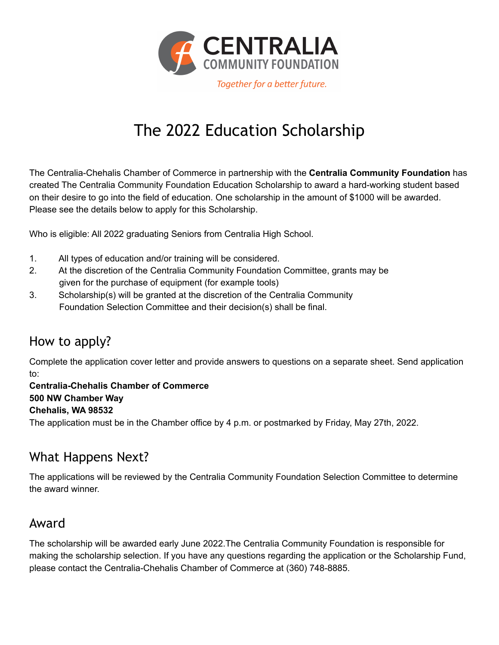

### The 2022 Education Scholarship

The Centralia-Chehalis Chamber of Commerce in partnership with the **Centralia Community Foundation** has created The Centralia Community Foundation Education Scholarship to award a hard-working student based on their desire to go into the field of education. One scholarship in the amount of \$1000 will be awarded. Please see the details below to apply for this Scholarship.

Who is eligible: All 2022 graduating Seniors from Centralia High School.

- 1. All types of education and/or training will be considered.
- 2. At the discretion of the Centralia Community Foundation Committee, grants may be given for the purchase of equipment (for example tools)
- 3. Scholarship(s) will be granted at the discretion of the Centralia Community Foundation Selection Committee and their decision(s) shall be final.

#### How to apply?

Complete the application cover letter and provide answers to questions on a separate sheet. Send application to:

**Centralia-Chehalis Chamber of Commerce 500 NW Chamber Way Chehalis, WA 98532**

The application must be in the Chamber office by 4 p.m. or postmarked by Friday, May 27th, 2022.

### What Happens Next?

The applications will be reviewed by the Centralia Community Foundation Selection Committee to determine the award winner.

#### Award

The scholarship will be awarded early June 2022.The Centralia Community Foundation is responsible for making the scholarship selection. If you have any questions regarding the application or the Scholarship Fund, please contact the Centralia-Chehalis Chamber of Commerce at (360) 748-8885.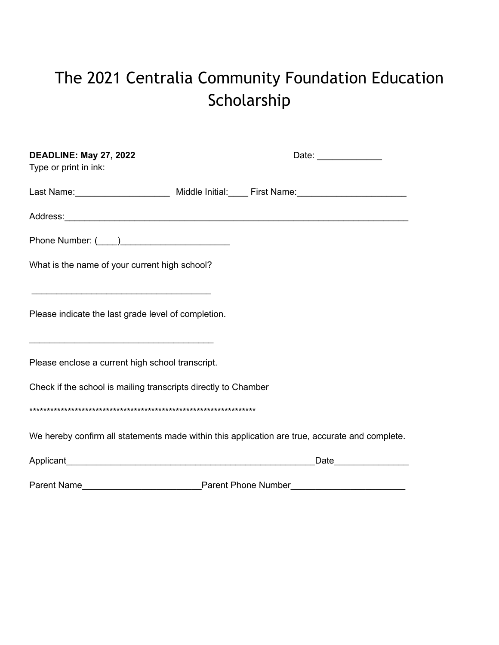# The 2021 Centralia Community Foundation Education Scholarship

| DEADLINE: May 27, 2022<br>Type or print in ink:                                                                                                                                                                                                                                      | Date: _______________                                                                                                                                                                                                          |
|--------------------------------------------------------------------------------------------------------------------------------------------------------------------------------------------------------------------------------------------------------------------------------------|--------------------------------------------------------------------------------------------------------------------------------------------------------------------------------------------------------------------------------|
|                                                                                                                                                                                                                                                                                      | Last Name: ___________________________ Middle Initial: _____ First Name: __________________________                                                                                                                            |
|                                                                                                                                                                                                                                                                                      |                                                                                                                                                                                                                                |
|                                                                                                                                                                                                                                                                                      |                                                                                                                                                                                                                                |
| What is the name of your current high school?                                                                                                                                                                                                                                        |                                                                                                                                                                                                                                |
| the control of the control of the control of the control of the control of the control of the control of the control of the control of the control of the control of the control of the control of the control of the control<br>Please indicate the last grade level of completion. |                                                                                                                                                                                                                                |
| Please enclose a current high school transcript.                                                                                                                                                                                                                                     |                                                                                                                                                                                                                                |
| Check if the school is mailing transcripts directly to Chamber                                                                                                                                                                                                                       |                                                                                                                                                                                                                                |
|                                                                                                                                                                                                                                                                                      |                                                                                                                                                                                                                                |
|                                                                                                                                                                                                                                                                                      | We hereby confirm all statements made within this application are true, accurate and complete.                                                                                                                                 |
|                                                                                                                                                                                                                                                                                      | Date and the state of the state of the state of the state of the state of the state of the state of the state of the state of the state of the state of the state of the state of the state of the state of the state of the s |

Parent Name **Parent Phone Number**